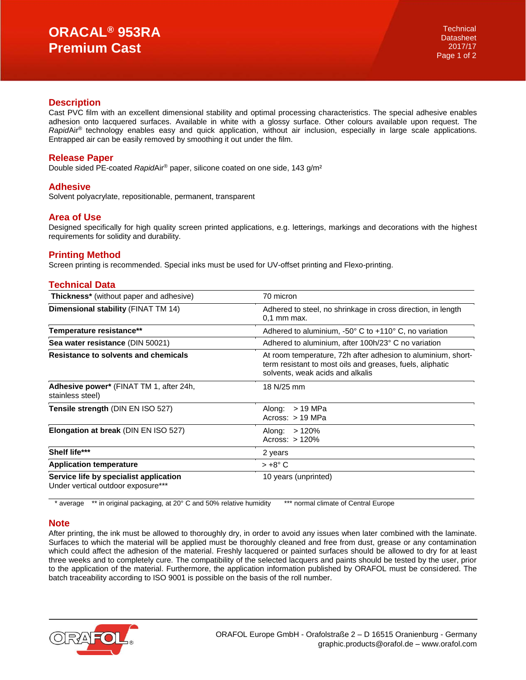### **Description**

Cast PVC film with an excellent dimensional stability and optimal processing characteristics. The special adhesive enables adhesion onto lacquered surfaces. Available in white with a glossy surface. Other colours available upon request. The *Rapid*Air® technology enables easy and quick application, without air inclusion, especially in large scale applications. Entrapped air can be easily removed by smoothing it out under the film.

# **Release Paper**

Double sided PE-coated *Rapid*Air® paper, silicone coated on one side, 143 g/m²

# **Adhesive**

Solvent polyacrylate, repositionable, permanent, transparent

# **Area of Use**

Designed specifically for high quality screen printed applications, e.g. letterings, markings and decorations with the highest requirements for solidity and durability.

# **Printing Method**

Screen printing is recommended. Special inks must be used for UV-offset printing and Flexo-printing.

# **Technical Data**

| <b>Thickness*</b> (without paper and adhesive)                               | 70 micron                                                                                                                                                     |
|------------------------------------------------------------------------------|---------------------------------------------------------------------------------------------------------------------------------------------------------------|
| Dimensional stability (FINAT TM 14)                                          | Adhered to steel, no shrinkage in cross direction, in length<br>$0.1$ mm max.                                                                                 |
| Temperature resistance**                                                     | Adhered to aluminium, $-50^\circ$ C to $+110^\circ$ C, no variation                                                                                           |
| Sea water resistance (DIN 50021)                                             | Adhered to aluminium, after 100h/23° C no variation                                                                                                           |
| Resistance to solvents and chemicals                                         | At room temperature, 72h after adhesion to aluminium, short-<br>term resistant to most oils and greases, fuels, aliphatic<br>solvents, weak acids and alkalis |
| Adhesive power* (FINAT TM 1, after 24h,<br>stainless steel)                  | 18 N/25 mm                                                                                                                                                    |
| Tensile strength (DIN EN ISO 527)                                            | > 19 MPa<br>Along:<br>Across: $> 19$ MPa                                                                                                                      |
| Elongation at break (DIN EN ISO 527)                                         | Along: $>120\%$<br>Across: $>120%$                                                                                                                            |
| Shelf life***                                                                | 2 years                                                                                                                                                       |
| <b>Application temperature</b>                                               | $> +8^{\circ}$ C                                                                                                                                              |
| Service life by specialist application<br>Under vertical outdoor exposure*** | 10 years (unprinted)                                                                                                                                          |

\* average \*\* in original packaging, at 20° C and 50% relative humidity \*\*\* normal climate of Central Europe

### **Note**

After printing, the ink must be allowed to thoroughly dry, in order to avoid any issues when later combined with the laminate. Surfaces to which the material will be applied must be thoroughly cleaned and free from dust, grease or any contamination which could affect the adhesion of the material. Freshly lacquered or painted surfaces should be allowed to dry for at least three weeks and to completely cure. The compatibility of the selected lacquers and paints should be tested by the user, prior to the application of the material. Furthermore, the application information published by ORAFOL must be considered. The batch traceability according to ISO 9001 is possible on the basis of the roll number.